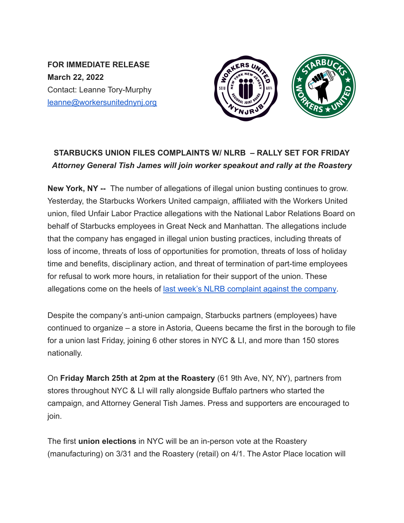**FOR IMMEDIATE RELEASE March 22, 2022** Contact: Leanne Tory-Murphy leanne@workersunitednynj.org



## **STARBUCKS UNION FILES COMPLAINTS W/ NLRB – RALLY SET FOR FRIDAY** *Attorney General Tish James will join worker speakout and rally at the Roastery*

**New York, NY --** The number of allegations of illegal union busting continues to grow. Yesterday, the Starbucks Workers United campaign, affiliated with the Workers United union, filed Unfair Labor Practice allegations with the National Labor Relations Board on behalf of Starbucks employees in Great Neck and Manhattan. The allegations include that the company has engaged in illegal union busting practices, including threats of loss of income, threats of loss of opportunities for promotion, threats of loss of holiday time and benefits, disciplinary action, and threat of termination of part-time employees for refusal to work more hours, in retaliation for their support of the union. These allegations come on the heels of last week's NLRB [complaint against the company](https://www.nytimes.com/2022/03/15/business/economy/starbucks-union-nlrb-arizona.html).

Despite the company's anti-union campaign, Starbucks partners (employees) have continued to organize – a store in Astoria, Queens became the first in the borough to file for a union last Friday, joining 6 other stores in NYC & LI, and more than 150 stores nationally.

On **Friday March 25th at 2pm at the Roastery** (61 9th Ave, NY, NY), partners from stores throughout NYC & LI will rally alongside Buffalo partners who started the campaign, and Attorney General Tish James. Press and supporters are encouraged to join.

The first **union elections** in NYC will be an in-person vote at the Roastery (manufacturing) on 3/31 and the Roastery (retail) on 4/1. The Astor Place location will